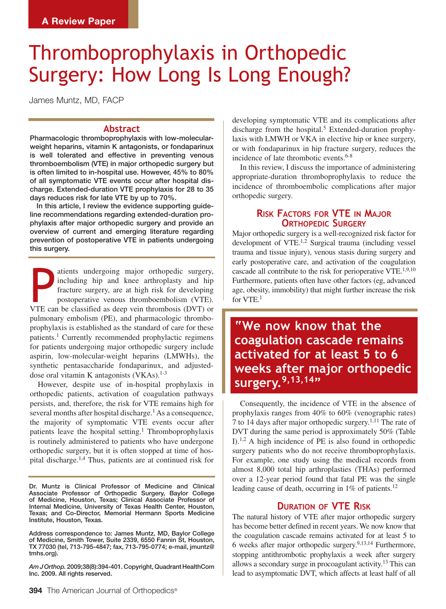# Thromboprophylaxis in Orthopedic Surgery: How Long Is Long Enough?

James Muntz, MD, FACP

### **Abstract**

Pharmacologic thromboprophylaxis with low-molecularweight heparins, vitamin K antagonists, or fondaparinux is well tolerated and effective in preventing venous thromboembolism (VTE) in major orthopedic surgery but is often limited to in-hospital use. However, 45% to 80% of all symptomatic VTE events occur after hospital discharge. Extended-duration VTE prophylaxis for 28 to 35 days reduces risk for late VTE by up to 70%.

 In this article, I review the evidence supporting guideline recommendations regarding extended-duration prophylaxis after major orthopedic surgery and provide an overview of current and emerging literature regarding prevention of postoperative VTE in patients undergoing this surgery.

atients undergoing major orthopedic surgery,<br>including hip and knee arthroplasty and hip<br>fracture surgery, are at high risk for developing<br>postoperative venous thromboembolism (VTE).<br>VTE can be classified as deep vein thro atients undergoing major orthopedic surgery, including hip and knee arthroplasty and hip fracture surgery, are at high risk for developing postoperative venous thromboembolism (VTE). pulmonary embolism (PE), and pharmacologic thromboprophylaxis is established as the standard of care for these patients.1 Currently recommended prophylactic regimens for patients undergoing major orthopedic surgery include aspirin, low-molecular-weight heparins (LMWHs), the synthetic pentasaccharide fondaparinux, and adjusteddose oral vitamin K antagonists  $(VKAs).<sup>1-3</sup>$ 

However, despite use of in-hospital prophylaxis in orthopedic patients, activation of coagulation pathways persists, and, therefore, the risk for VTE remains high for several months after hospital discharge.<sup>1</sup> As a consequence, the majority of symptomatic VTE events occur after patients leave the hospital setting.<sup>1</sup> Thromboprophylaxis is routinely administered to patients who have undergone orthopedic surgery, but it is often stopped at time of hospital discharge.1,4 Thus, patients are at continued risk for

Dr. Muntz is Clinical Professor of Medicine and Clinical Associate Professor of Orthopedic Surgery, Baylor College of Medicine, Houston, Texas; Clinical Associate Professor of Internal Medicine, University of Texas Health Center, Houston, Texas; and Co-Director, Memorial Hermann Sports Medicine Institute, Houston, Texas.

Address correspondence to: James Muntz, MD, Baylor College of Medicine, Smith Tower, Suite 2339, 6550 Fannin St, Houston, TX 77030 (tel, 713-795-4847; fax, 713-795-0774; e-mail, jmuntz@ tmhs.org).

*Am J Orthop.* 2009;38(8):394-401. Copyright, Quadrant HealthCom Inc. 2009. All rights reserved.

developing symptomatic VTE and its complications after discharge from the hospital.<sup>5</sup> Extended-duration prophylaxis with LMWH or VKA in elective hip or knee surgery, or with fondaparinux in hip fracture surgery, reduces the incidence of late thrombotic events.<sup>6-8</sup>

In this review, I discuss the importance of administering appropriate-duration thromboprophylaxis to reduce the incidence of thromboembolic complications after major orthopedic surgery.

# **Risk Factors for VTE in Major ORTHOPEDIC SURGERY**

Major orthopedic surgery is a well-recognized risk factor for development of VTE.1,2 Surgical trauma (including vessel trauma and tissue injury), venous stasis during surgery and early postoperative care, and activation of the coagulation cascade all contribute to the risk for perioperative VTE.<sup>1,9,10</sup> Furthermore, patients often have other factors (eg, advanced age, obesity, immobility) that might further increase the risk for VTE.1

**"We now know that the coagulation cascade remains activated for at least 5 to 6 weeks after major orthopedic surgery.9,13,14"**

Consequently, the incidence of VTE in the absence of prophylaxis ranges from 40% to 60% (venographic rates) 7 to 14 days after major orthopedic surgery.<sup>1,11</sup> The rate of DVT during the same period is approximately 50% (Table I).<sup>1,2</sup> A high incidence of PE is also found in orthopedic surgery patients who do not receive thromboprophylaxis. For example, one study using the medical records from almost 8,000 total hip arthroplasties (THAs) performed over a 12-year period found that fatal PE was the single leading cause of death, occurring in  $1\%$  of patients.<sup>12</sup>

## **Duration of VTE Risk**

The natural history of VTE after major orthopedic surgery has become better defined in recent years. We now know that the coagulation cascade remains activated for at least 5 to 6 weeks after major orthopedic surgery.9,13,14 Furthermore, stopping antithrombotic prophylaxis a week after surgery allows a secondary surge in procoagulant activity.13 This can lead to asymptomatic DVT, which affects at least half of all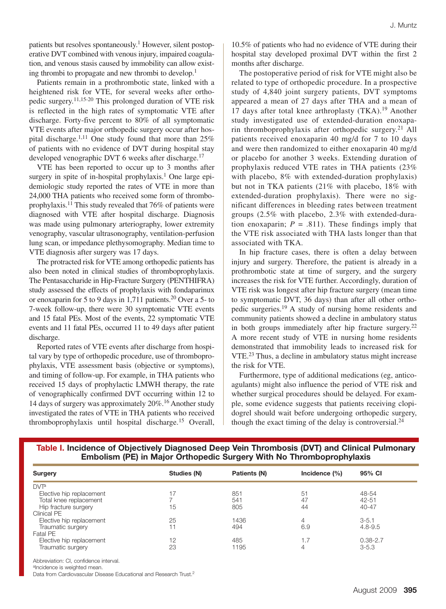patients but resolves spontaneously.<sup>1</sup> However, silent postoperative DVT combined with venous injury, impaired coagulation, and venous stasis caused by immobility can allow existing thrombi to propagate and new thrombi to develop.1

Patients remain in a prothrombotic state, linked with a heightened risk for VTE, for several weeks after orthopedic surgery.11,15-20 This prolonged duration of VTE risk is reflected in the high rates of symptomatic VTE after discharge. Forty-five percent to 80% of all symptomatic VTE events after major orthopedic surgery occur after hospital discharge.<sup>1,11</sup> One study found that more than  $25%$ of patients with no evidence of DVT during hospital stay developed venographic DVT 6 weeks after discharge.<sup>17</sup>

VTE has been reported to occur up to 3 months after surgery in spite of in-hospital prophylaxis.<sup>1</sup> One large epidemiologic study reported the rates of VTE in more than 24,000 THA patients who received some form of thromboprophylaxis.<sup>11</sup> This study revealed that  $76\%$  of patients were diagnosed with VTE after hospital discharge. Diagnosis was made using pulmonary arteriography, lower extremity venography, vascular ultrasonography, ventilation-perfusion lung scan, or impedance plethysomography. Median time to VTE diagnosis after surgery was 17 days.

The protracted risk for VTE among orthopedic patients has also been noted in clinical studies of thromboprophylaxis. The Pentasaccharide in Hip-Fracture Surgery (PENTHIFRA) study assessed the effects of prophylaxis with fondaparinux or enoxaparin for 5 to 9 days in 1,711 patients.20 Over a 5- to 7-week follow-up, there were 30 symptomatic VTE events and 15 fatal PEs. Most of the events, 22 symptomatic VTE events and 11 fatal PEs, occurred 11 to 49 days after patient discharge.

Reported rates of VTE events after discharge from hospital vary by type of orthopedic procedure, use of thromboprophylaxis, VTE assessment basis (objective or symptoms), and timing of follow-up. For example, in THA patients who received 15 days of prophylactic LMWH therapy, the rate of venographically confirmed DVT occurring within 12 to 14 days of surgery was approximately 20%.16 Another study investigated the rates of VTE in THA patients who received thromboprophylaxis until hospital discharge.15 Overall, 10.5% of patients who had no evidence of VTE during their hospital stay developed proximal DVT within the first 2 months after discharge.

The postoperative period of risk for VTE might also be related to type of orthopedic procedure. In a prospective study of 4,840 joint surgery patients, DVT symptoms appeared a mean of 27 days after THA and a mean of 17 days after total knee arthroplasty  $(TKA).<sup>19</sup>$  Another study investigated use of extended-duration enoxaparin thromboprophylaxis after orthopedic surgery.<sup>21</sup> All patients received enoxaparin 40 mg/d for 7 to 10 days and were then randomized to either enoxaparin 40 mg/d or placebo for another 3 weeks. Extending duration of prophylaxis reduced VTE rates in THA patients (23% with placebo, 8% with extended-duration prophylaxis) but not in TKA patients (21% with placebo, 18% with extended-duration prophylaxis). There were no significant differences in bleeding rates between treatment groups (2.5% with placebo, 2.3% with extended-duration enoxaparin;  $P = .811$ ). These findings imply that the VTE risk associated with THA lasts longer than that associated with TKA.

In hip fracture cases, there is often a delay between injury and surgery. Therefore, the patient is already in a prothrombotic state at time of surgery, and the surgery increases the risk for VTE further. Accordingly, duration of VTE risk was longest after hip fracture surgery (mean time to symptomatic DVT, 36 days) than after all other orthopedic surgeries.19 A study of nursing home residents and community patients showed a decline in ambulatory status in both groups immediately after hip fracture surgery.<sup>22</sup> A more recent study of VTE in nursing home residents demonstrated that immobility leads to increased risk for VTE.<sup>23</sup> Thus, a decline in ambulatory status might increase the risk for VTE.

Furthermore, type of additional medications (eg, anticoagulants) might also influence the period of VTE risk and whether surgical procedures should be delayed. For example, some evidence suggests that patients receiving clopidogrel should wait before undergoing orthopedic surgery, though the exact timing of the delay is controversial. $^{24}$ 

| Table I. Incidence of Objectively Diagnosed Deep Vein Thrombosis (DVT) and Clinical Pulmonary |
|-----------------------------------------------------------------------------------------------|
| Embolism (PE) in Major Orthopedic Surgery With No Thromboprophylaxis                          |

| Surgery                  | Studies (N) | Patients (N) | Incidence $(\%)$ | 95% CI       |
|--------------------------|-------------|--------------|------------------|--------------|
| DVT <sup>a</sup>         |             |              |                  |              |
| Elective hip replacement |             | 851          | 5 <sup>1</sup>   | 48-54        |
| Total knee replacement   |             | 541          | 47               | $42 - 51$    |
| Hip fracture surgery     | 15          | 805          | 44               | $40 - 47$    |
| Clinical PE              |             |              |                  |              |
| Elective hip replacement | 25          | 1436         | 4                | $3 - 5.1$    |
| Traumatic surgery        | 11          | 494          | 6.9              | $4.8 - 9.5$  |
| Fatal PE                 |             |              |                  |              |
| Elective hip replacement | 12          | 485          | 1.7              | $0.38 - 2.7$ |
| Traumatic surgery        | 23          | 1195         | 4                | $3 - 5.3$    |

Abbreviation: CI, confidence interval.

aIncidence is weighted mean.

Data from Cardiovascular Disease Educational and Research Trust.2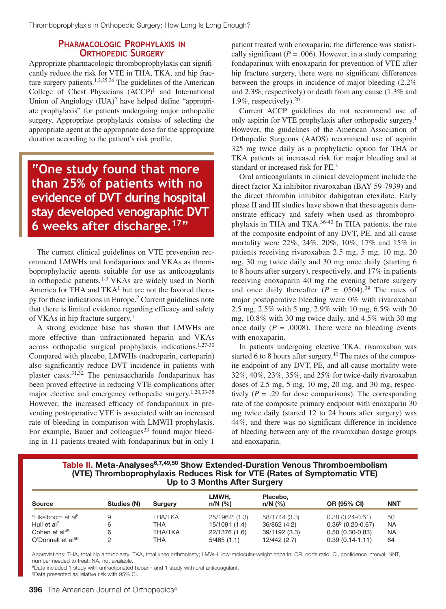# **Pharmacologic Prophylaxis in Orthopedic Surgery**

Appropriate pharmacologic thromboprophylaxis can significantly reduce the risk for VTE in THA, TKA, and hip fracture surgery patients.<sup>1,2,25,26</sup> The guidelines of the American College of Chest Physicians  $(ACCP)^1$  and International Union of Angiology  $(IUA)^2$  have helped define "appropriate prophylaxis" for patients undergoing major orthopedic surgery. Appropriate prophylaxis consists of selecting the appropriate agent at the appropriate dose for the appropriate duration according to the patient's risk profile.

**"One study found that more than 25% of patients with no evidence of DVT during hospital stay developed venographic DVT 6 weeks after discharge.17"**

The current clinical guidelines on VTE prevention recommend LMWHs and fondaparinux and VKAs as thromboprophylactic agents suitable for use as anticoagulants in orthopedic patients.<sup>1-3</sup> VKAs are widely used in North America for THA and  $TKA<sup>1</sup>$  but are not the favored therapy for these indications in Europe.2 Current guidelines note that there is limited evidence regarding efficacy and safety of VKAs in hip fracture surgery.1

A strong evidence base has shown that LMWHs are more effective than unfractionated heparin and VKAs across orthopedic surgical prophylaxis indications.1,27-30 Compared with placebo, LMWHs (nadroparin, certoparin) also significantly reduce DVT incidence in patients with plaster casts.31,32 The pentasaccharide fondaparinux has been proved effective in reducing VTE complications after major elective and emergency orthopedic surgery.1,20,33-35 However, the increased efficacy of fondaparinux in preventing postoperative VTE is associated with an increased rate of bleeding in comparison with LMWH prophylaxis. For example, Bauer and colleagues<sup>33</sup> found major bleeding in 11 patients treated with fondaparinux but in only 1

patient treated with enoxaparin; the difference was statistically significant ( $P = .006$ ). However, in a study comparing fondaparinux with enoxaparin for prevention of VTE after hip fracture surgery, there were no significant differences between the groups in incidence of major bleeding (2.2% and 2.3%, respectively) or death from any cause (1.3% and 1.9%, respectively).20

Current ACCP guidelines do not recommend use of only aspirin for VTE prophylaxis after orthopedic surgery.<sup>1</sup> However, the guidelines of the American Association of Orthopedic Surgeons (AAOS) recommend use of aspirin 325 mg twice daily as a prophylactic option for THA or TKA patients at increased risk for major bleeding and at standard or increased risk for PE.<sup>3</sup>

Oral anticoagulants in clinical development include the direct factor Xa inhibitor rivaroxaban (BAY 59-7939) and the direct thrombin inhibitor dabigatran etexilate. Early phase II and III studies have shown that these agents demonstrate efficacy and safety when used as thromboprophylaxis in THA and TKA.36-40 In THA patients, the rate of the composite endpoint of any DVT, PE, and all-cause mortality were 22%, 24%, 20%, 10%, 17% and 15% in patients receiving rivaroxaban 2.5 mg, 5 mg, 10 mg, 20 mg, 30 mg twice daily and 30 mg once daily (starting 6 to 8 hours after surgery), respectively, and 17% in patients receiving enoxaparin 40 mg the evening before surgery and once daily thereafter  $(P = .0504).^{39}$  The rates of major postoperative bleeding were 0% with rivaroxaban 2.5 mg, 2.5% with 5 mg, 2.9% with 10 mg, 6.5% with 20 mg, 10.8% with 30 mg twice daily, and 4.5% with 30 mg once daily  $(P = .0008)$ . There were no bleeding events with enoxaparin.

In patients undergoing elective TKA, rivaroxaban was started 6 to 8 hours after surgery. $40$  The rates of the composite endpoint of any DVT, PE, and all-cause mortality were 32%, 40%, 23%, 35%, and 25% for twice-daily rivaroxaban doses of 2.5 mg, 5 mg, 10 mg, 20 mg, and 30 mg, respectively  $(P = .29)$  for dose comparisons). The corresponding rate of the composite primary endpoint with enoxaparin 30 mg twice daily (started 12 to 24 hours after surgery) was 44%, and there was no significant difference in incidence of bleeding between any of the rivaroxaban dosage groups and enoxaparin.

## **Table II. Meta-Analyses6,7,49,50 Show Extended-Duration Venous Thromboembolism (VTE) Thromboprophylaxis Reduces Risk for VTE (Rates of Symptomatic VTE) Up to 3 Months After Surgery**

| <b>Source</b>                             | Studies (N) | Surgery        | LMWH.<br>$n/N$ (%)         | Placebo,<br>$n/N$ (%) | OR (95% CI)         | <b>NNT</b> |
|-------------------------------------------|-------------|----------------|----------------------------|-----------------------|---------------------|------------|
| <sup>a</sup> Eikelboom et al <sup>6</sup> |             | <b>THA/TKA</b> | 25/1964 <sup>a</sup> (1.3) | 58/1744 (3.3)         | $0.38(0.24 - 0.61)$ | 50         |
| Hull et $al7$                             |             | THA            | 15/1091 (1.4)              | 36/862 (4.2)          | $0.36b$ (0.20-0.67) | <b>NA</b>  |
| Cohen et al <sup>49</sup>                 |             | <b>THA/TKA</b> | 22/1376 (1.6)              | 39/1192 (3.3)         | $0.50(0.30-0.83)$   | NA         |
| O'Donnell et al <sup>50</sup>             |             | THA            | 5/465(1.1)                 | 12/442 (2.7)          | $0.39(0.14-1.11)$   | 64         |

Abbreviations: THA, total hip arthroplasty; TKA, total knee arthroplasty; LMWH, low-molecular-weight heparin; OR, odds ratio; CI, confidence interval; NNT, number needed to treat; NA, not available.

aData included 1 study with unfractionated heparin and 1 study with oral anticoagulant.

bData presented as relative risk with 95% CI.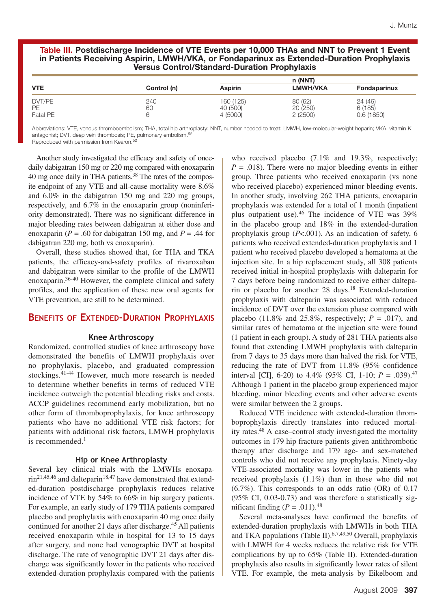#### **Table III. Postdischarge Incidence of VTE Events per 10,000 THAs and NNT to Prevent 1 Event in Patients Receiving Aspirin, LMWH/VKA, or Fondaparinux as Extended-Duration Prophylaxis Versus Control/Standard-Duration Prophylaxis**

|                           |             | n (NNT)                           |                                |                                |
|---------------------------|-------------|-----------------------------------|--------------------------------|--------------------------------|
| <b>VTE</b>                | Control (n) | <b>Aspirin</b>                    | <b>LMWH/VKA</b>                | Fondaparinux                   |
| DVT/PE<br>PE.<br>Fatal PE | 240<br>60   | 160 (125)<br>40 (500)<br>4 (5000) | 80 (62)<br>20 (250)<br>2(2500) | 24 (46)<br>6(185)<br>0.6(1850) |

Abbreviations: VTE, venous thromboembolism; THA, total hip arthroplasty; NNT, number needed to treat; LMWH, low-molecular-weight heparin; VKA, vitamin K antagonist; DVT, deep vein thrombosis; PE, pulmonary embolism.<sup>52</sup>

Reproduced with permission from Kearon.52

Another study investigated the efficacy and safety of oncedaily dabigatran 150 mg or 220 mg compared with enoxaparin 40 mg once daily in THA patients.<sup>38</sup> The rates of the composite endpoint of any VTE and all-cause mortality were 8.6% and 6.0% in the dabigatran 150 mg and 220 mg groups, respectively, and 6.7% in the enoxaparin group (noninferiority demonstrated). There was no significant difference in major bleeding rates between dabigatran at either dose and enoxaparin ( $P = .60$  for dabigatran 150 mg, and  $P = .44$  for dabigatran 220 mg, both vs enoxaparin).

Overall, these studies showed that, for THA and TKA patients, the efficacy-and-safety profiles of rivaroxaban and dabigatran were similar to the profile of the LMWH enoxaparin.36-40 However, the complete clinical and safety profiles, and the application of these new oral agents for VTE prevention, are still to be determined.

# **Benefits of Extended-Duration Prophylaxis**

#### **Knee Arthroscopy**

Randomized, controlled studies of knee arthroscopy have demonstrated the benefits of LMWH prophylaxis over no prophylaxis, placebo, and graduated compression stockings.41-44 However, much more research is needed to determine whether benefits in terms of reduced VTE incidence outweigh the potential bleeding risks and costs. ACCP guidelines recommend early mobilization, but no other form of thromboprophylaxis, for knee arthroscopy patients who have no additional VTE risk factors; for patients with additional risk factors, LMWH prophylaxis is recommended. $<sup>1</sup>$ </sup>

#### **Hip or Knee Arthroplasty**

Several key clinical trials with the LMWHs enoxapa- $\text{rin}^{21,45,46}$  and dalteparin<sup>18,47</sup> have demonstrated that extended-duration postdischarge prophylaxis reduces relative incidence of VTE by 54% to 66% in hip surgery patients. For example, an early study of 179 THA patients compared placebo and prophylaxis with enoxaparin 40 mg once daily continued for another 21 days after discharge.<sup>45</sup> All patients received enoxaparin while in hospital for 13 to 15 days after surgery, and none had venographic DVT at hospital discharge. The rate of venographic DVT 21 days after discharge was significantly lower in the patients who received extended-duration prophylaxis compared with the patients who received placebo  $(7.1\%$  and  $19.3\%$ , respectively;  $P = .018$ ). There were no major bleeding events in either group. Three patients who received enoxaparin (vs none who received placebo) experienced minor bleeding events. In another study, involving 262 THA patients, enoxaparin prophylaxis was extended for a total of 1 month (inpatient plus outpatient use).46 The incidence of VTE was 39% in the placebo group and 18% in the extended-duration prophylaxis group (*P*<.001). As an indication of safety, 6 patients who received extended-duration prophylaxis and 1 patient who received placebo developed a hematoma at the injection site. In a hip replacement study, all 308 patients received initial in-hospital prophylaxis with dalteparin for 7 days before being randomized to receive either dalteparin or placebo for another 28 days.<sup>18</sup> Extended-duration prophylaxis with dalteparin was associated with reduced incidence of DVT over the extension phase compared with placebo (11.8% and 25.8%, respectively;  $P = .017$ ), and similar rates of hematoma at the injection site were found (1 patient in each group). A study of 281 THA patients also found that extending LMWH prophylaxis with dalteparin from 7 days to 35 days more than halved the risk for VTE, reducing the rate of DVT from 11.8% (95% confidence interval [CI], 6-20) to 4.4% (95% CI, 1-10;  $P = .039$ ).<sup>47</sup> Although 1 patient in the placebo group experienced major bleeding, minor bleeding events and other adverse events were similar between the 2 groups.

Reduced VTE incidence with extended-duration thromboprophylaxis directly translates into reduced mortality rates.48 A case–control study investigated the mortality outcomes in 179 hip fracture patients given antithrombotic therapy after discharge and 179 age- and sex-matched controls who did not receive any prophylaxis. Ninety-day VTE-associated mortality was lower in the patients who received prophylaxis (1.1%) than in those who did not (6.7%). This corresponds to an odds ratio (OR) of 0.17 (95% CI, 0.03-0.73) and was therefore a statistically significant finding  $(P=.011).^{48}$ 

Several meta-analyses have confirmed the benefits of extended-duration prophylaxis with LMWHs in both THA and TKA populations (Table II).<sup>6,7,49,50</sup> Overall, prophylaxis with LMWH for 4 weeks reduces the relative risk for VTE complications by up to 65% (Table II). Extended-duration prophylaxis also results in significantly lower rates of silent VTE. For example, the meta-analysis by Eikelboom and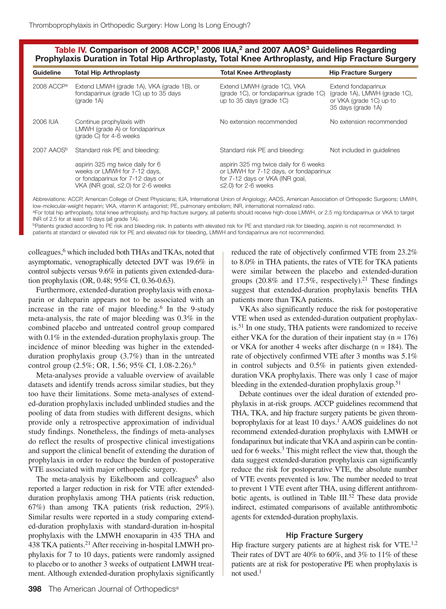# Table IV. Comparison of 2008 ACCP,<sup>1</sup> 2006 IUA,<sup>2</sup> and 2007 AAOS<sup>3</sup> Guidelines Regarding **Prophylaxis Duration in Total Hip Arthroplasty, Total Knee Arthroplasty, and Hip Fracture Surgery**

| Guideline              | <b>Total Hip Arthroplasty</b>                                                                                                                    | <b>Total Knee Arthroplasty</b>                                                                                                                   | <b>Hip Fracture Surgery</b>                                                                          |
|------------------------|--------------------------------------------------------------------------------------------------------------------------------------------------|--------------------------------------------------------------------------------------------------------------------------------------------------|------------------------------------------------------------------------------------------------------|
| 2008 ACCP <sup>a</sup> | Extend LMWH (grade 1A), VKA (grade 1B), or<br>fondaparinux (grade 1C) up to 35 days<br>$(\text{grade }1\text{A})$                                | Extend LMWH (grade 1C), VKA<br>(grade 1C), or fondaparinux (grade 1C)<br>up to 35 days (grade 1C)                                                | Extend fondaparinux<br>(grade 1A), LMWH (grade 1C),<br>or VKA (grade 1C) up to<br>35 days (grade 1A) |
| 2006 IUA               | Continue prophylaxis with<br>LMWH (grade A) or fondaparinux<br>(grade C) for 4-6 weeks                                                           | No extension recommended                                                                                                                         | No extension recommended                                                                             |
| 2007 AAOS <sup>b</sup> | Standard risk PE and bleeding:                                                                                                                   | Standard risk PE and bleeding:                                                                                                                   | Not included in quidelines                                                                           |
|                        | aspirin 325 mg twice daily for 6<br>weeks or LMWH for 7-12 days,<br>or fondaparinux for 7-12 days or<br>VKA (INR goal, $\leq$ 2.0) for 2-6 weeks | aspirin 325 mg twice daily for 6 weeks<br>or LMWH for 7-12 days, or fondaparinux<br>for 7-12 days or VKA (INR goal,<br>$\leq$ 2.0) for 2-6 weeks |                                                                                                      |

Abbreviations: ACCP, American College of Chest Physicians; IUA, International Union of Angiology; AAOS, American Association of Orthopedic Surgeons; LMWH, low-molecular-weight heparin; VKA, vitamin K antagonist; PE, pulmonary embolism; INR, international normalized ratio.

aFor total hip arthroplasty, total knee arthroplasty, and hip fracture surgery, all patients should receive high-dose LMWH, or 2.5 mg fondaparinux or VKA to target INR of 2.5 for at least 10 days (all grade 1A).

bPatients graded according to PE risk and bleeding risk. In patients with elevated risk for PE and standard risk for bleeding, aspirin is not recommended. In patients at standard or elevated risk for PE and elevated risk for bleeding, LMWH and fondaparinux are not recommended.

colleagues,6 which included both THAs and TKAs, noted that asymptomatic, venographically detected DVT was 19.6% in control subjects versus 9.6% in patients given extended-duration prophylaxis (OR, 0.48; 95% CI, 0.36-0.63).

Furthermore, extended-duration prophylaxis with enoxaparin or dalteparin appears not to be associated with an increase in the rate of major bleeding.<sup>6</sup> In the 9-study meta-analysis, the rate of major bleeding was 0.3% in the combined placebo and untreated control group compared with 0.1% in the extended-duration prophylaxis group. The incidence of minor bleeding was higher in the extendedduration prophylaxis group (3.7%) than in the untreated control group (2.5%; OR, 1.56; 95% CI, 1.08-2.26).6

Meta-analyses provide a valuable overview of available datasets and identify trends across similar studies, but they too have their limitations. Some meta-analyses of extended-duration prophylaxis included unblinded studies and the pooling of data from studies with different designs, which provide only a retrospective approximation of individual study findings. Nonetheless, the findings of meta-analyses do reflect the results of prospective clinical investigations and support the clinical benefit of extending the duration of prophylaxis in order to reduce the burden of postoperative VTE associated with major orthopedic surgery.

The meta-analysis by Eikelboom and colleagues $<sup>6</sup>$  also</sup> reported a larger reduction in risk for VTE after extendedduration prophylaxis among THA patients (risk reduction, 67%) than among TKA patients (risk reduction, 29%). Similar results were reported in a study comparing extended-duration prophylaxis with standard-duration in-hospital prophylaxis with the LMWH enoxaparin in 435 THA and 438 TKA patients.<sup>21</sup> After receiving in-hospital LMWH prophylaxis for 7 to 10 days, patients were randomly assigned to placebo or to another 3 weeks of outpatient LMWH treatment. Although extended-duration prophylaxis significantly reduced the rate of objectively confirmed VTE from 23.2% to 8.0% in THA patients, the rates of VTE for TKA patients were similar between the placebo and extended-duration groups (20.8% and 17.5%, respectively).<sup>21</sup> These findings suggest that extended-duration prophylaxis benefits THA patients more than TKA patients.

VKAs also significantly reduce the risk for postoperative VTE when used as extended-duration outpatient prophylaxis.<sup>51</sup> In one study, THA patients were randomized to receive either VKA for the duration of their inpatient stay ( $n = 176$ ) or VKA for another 4 weeks after discharge ( $n = 184$ ). The rate of objectively confirmed VTE after 3 months was 5.1% in control subjects and 0.5% in patients given extendedduration VKA prophylaxis. There was only 1 case of major bleeding in the extended-duration prophylaxis group.<sup>51</sup>

Debate continues over the ideal duration of extended prophylaxis in at-risk groups. ACCP guidelines recommend that THA, TKA, and hip fracture surgery patients be given thromboprophylaxis for at least 10 days.<sup>1</sup> AAOS guidelines do not recommend extended-duration prophylaxis with LMWH or fondaparinux but indicate that VKA and aspirin can be continued for 6 weeks. $3$  This might reflect the view that, though the data suggest extended-duration prophylaxis can significantly reduce the risk for postoperative VTE, the absolute number of VTE events prevented is low. The number needed to treat to prevent 1 VTE event after THA, using different antithrombotic agents, is outlined in Table III.<sup>52</sup> These data provide indirect, estimated comparisons of available antithrombotic agents for extended-duration prophylaxis.

#### **Hip Fracture Surgery**

Hip fracture surgery patients are at highest risk for VTE.<sup>1,2</sup> Their rates of DVT are 40% to 60%, and 3% to 11% of these patients are at risk for postoperative PE when prophylaxis is not used. $<sup>1</sup>$ </sup>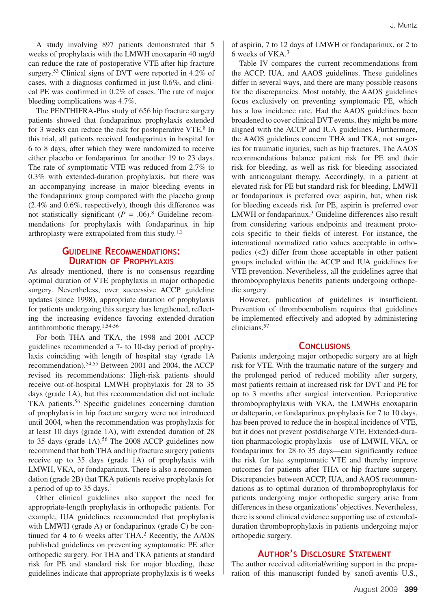A study involving 897 patients demonstrated that 5 weeks of prophylaxis with the LMWH enoxaparin 40 mg/d can reduce the rate of postoperative VTE after hip fracture surgery.<sup>53</sup> Clinical signs of DVT were reported in 4.2% of cases, with a diagnosis confirmed in just 0.6%, and clinical PE was confirmed in 0.2% of cases. The rate of major bleeding complications was 4.7%.

The PENTHIFRA-Plus study of 656 hip fracture surgery patients showed that fondaparinux prophylaxis extended for 3 weeks can reduce the risk for postoperative VTE.<sup>8</sup> In this trial, all patients received fondaparinux in hospital for 6 to 8 days, after which they were randomized to receive either placebo or fondaparinux for another 19 to 23 days. The rate of symptomatic VTE was reduced from 2.7% to 0.3% with extended-duration prophylaxis, but there was an accompanying increase in major bleeding events in the fondaparinux group compared with the placebo group (2.4% and 0.6%, respectively), though this difference was not statistically significant  $(P = .06)^8$  Guideline recommendations for prophylaxis with fondaparinux in hip arthroplasty were extrapolated from this study.<sup>1,2</sup>

# **Guideline Recommendations: Duration of Prophylaxis**

As already mentioned, there is no consensus regarding optimal duration of VTE prophylaxis in major orthopedic surgery. Nevertheless, over successive ACCP guideline updates (since 1998), appropriate duration of prophylaxis for patients undergoing this surgery has lengthened, reflecting the increasing evidence favoring extended-duration antithrombotic therapy.1,54-56

For both THA and TKA, the 1998 and 2001 ACCP guidelines recommended a 7- to 10-day period of prophylaxis coinciding with length of hospital stay (grade 1A recommendation).54,55 Between 2001 and 2004, the ACCP revised its recommendations: High-risk patients should receive out-of-hospital LMWH prophylaxis for 28 to 35 days (grade 1A), but this recommendation did not include TKA patients.56 Specific guidelines concerning duration of prophylaxis in hip fracture surgery were not introduced until 2004, when the recommendation was prophylaxis for at least 10 days (grade 1A), with extended duration of 28 to 35 days (grade  $1A$ ).<sup>56</sup> The 2008 ACCP guidelines now recommend that both THA and hip fracture surgery patients receive up to 35 days (grade 1A) of prophylaxis with LMWH, VKA, or fondaparinux. There is also a recommendation (grade 2B) that TKA patients receive prophylaxis for a period of up to 35 days.<sup>1</sup>

Other clinical guidelines also support the need for appropriate-length prophylaxis in orthopedic patients. For example, IUA guidelines recommended that prophylaxis with LMWH (grade A) or fondaparinux (grade C) be continued for 4 to 6 weeks after THA. $2$  Recently, the AAOS published guidelines on preventing symptomatic PE after orthopedic surgery. For THA and TKA patients at standard risk for PE and standard risk for major bleeding, these guidelines indicate that appropriate prophylaxis is 6 weeks of aspirin, 7 to 12 days of LMWH or fondaparinux, or 2 to 6 weeks of VKA.3

Table IV compares the current recommendations from the ACCP, IUA, and AAOS guidelines. These guidelines differ in several ways, and there are many possible reasons for the discrepancies. Most notably, the AAOS guidelines focus exclusively on preventing symptomatic PE, which has a low incidence rate. Had the AAOS guidelines been broadened to cover clinical DVT events, they might be more aligned with the ACCP and IUA guidelines. Furthermore, the AAOS guidelines concern THA and TKA, not surgeries for traumatic injuries, such as hip fractures. The AAOS recommendations balance patient risk for PE and their risk for bleeding, as well as risk for bleeding associated with anticoagulant therapy. Accordingly, in a patient at elevated risk for PE but standard risk for bleeding, LMWH or fondaparinux is preferred over aspirin, but, when risk for bleeding exceeds risk for PE, aspirin is preferred over LMWH or fondaparinux.<sup>3</sup> Guideline differences also result from considering various endpoints and treatment protocols specific to their fields of interest. For instance, the international normalized ratio values acceptable in orthopedics (<2) differ from those acceptable in other patient groups included within the ACCP and IUA guidelines for VTE prevention. Nevertheless, all the guidelines agree that thromboprophylaxis benefits patients undergoing orthopedic surgery.

However, publication of guidelines is insufficient. Prevention of thromboembolism requires that guidelines be implemented effectively and adopted by administering clinicians.57

# **Conclusions**

Patients undergoing major orthopedic surgery are at high risk for VTE. With the traumatic nature of the surgery and the prolonged period of reduced mobility after surgery, most patients remain at increased risk for DVT and PE for up to 3 months after surgical intervention. Perioperative thromboprophylaxis with VKA, the LMWHs enoxaparin or dalteparin, or fondaparinux prophylaxis for 7 to 10 days, has been proved to reduce the in-hospital incidence of VTE, but it does not prevent postdischarge VTE. Extended-duration pharmacologic prophylaxis—use of LMWH, VKA, or fondaparinux for 28 to 35 days—can significantly reduce the risk for late symptomatic VTE and thereby improve outcomes for patients after THA or hip fracture surgery. Discrepancies between ACCP, IUA, and AAOS recommendations as to optimal duration of thromboprophylaxis for patients undergoing major orthopedic surgery arise from differences in these organizations' objectives. Nevertheless, there is sound clinical evidence supporting use of extendedduration thromboprophylaxis in patients undergoing major orthopedic surgery.

# **Author's Disclosure Statement**

The author received editorial/writing support in the preparation of this manuscript funded by sanofi-aventis U.S.,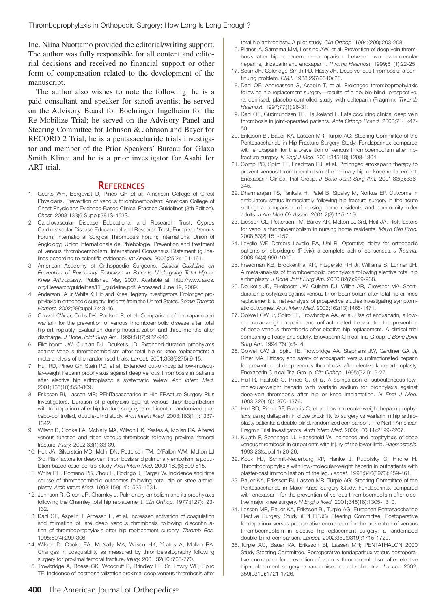Inc. Niina Nuottamo provided the editorial/writing support. The author was fully responsible for all content and editorial decisions and received no financial support or other form of compensation related to the development of the manuscript.

The author also wishes to note the following: he is a paid consultant and speaker for sanofi-aventis; he served on the Advisory Board for Boehringer Ingelheim for the Re-Mobilize Trial; he served on the Advisory Panel and Steering Committee for Johnson & Johnson and Bayer for RECORD 2 Trial; he is a pentasaccharide trials investigator and member of the Prior Speakers' Bureau for Glaxo Smith Kline; and he is a prior investigator for Asahi for ART trial.

## **References**

- 1. Geerts WH, Bergqvist D, Pineo GF, et al; American College of Chest Physicians. Prevention of venous thromboembolism: American College of Chest Physicians Evidence-Based Clinical Practice Guidelines (8th Edition). *Chest.* 2008;133(6 Suppl):381S-453S.
- 2. Cardiovascular Disease Educational and Research Trust; Cyprus Cardiovascular Disease Educational and Research Trust; European Venous Forum; International Surgical Thrombosis Forum; International Union of Angiology; Union Internationale de Phlébologie. Prevention and treatment of venous thromboembolism. International Consensus Statement (guidelines according to scientific evidence). *Int Angiol.* 2006;25(2):101-161.
- 3. American Academy of Orthopaedic Surgeons. *Clinical Guideline on Prevention of Pulmonary Embolism in Patients Undergoing Total Hip or Knee Arthroplasty*. Published May 2007. Available at: http://www.aaos. org/Research/guidelines/PE\_guideline.pdf. Accessed June 19, 2009.
- 4. Anderson FA Jr, White K; Hip and Knee Registry Investigators. Prolonged prophylaxis in orthopedic surgery: insights from the United States. *Semin Thromb Hemost.* 2002;28(suppl 3):43-46.
- 5. Colwell CW Jr, Collis DK, Paulson R, et al. Comparison of enoxaparin and warfarin for the prevention of venous thromboembolic disease after total hip arthroplasty. Evaluation during hospitalization and three months after discharge. *J Bone Joint Surg Am.* 1999;81(7):932-940.
- 6. Eikelboom JW, Quinlan DJ, Douketis JD. Extended-duration prophylaxis against venous thromboembolism after total hip or knee replacement: a meta-analysis of the randomised trials. *Lancet.* 2001;358(9275):9-15.
- 7. Hull RD, Pineo GF, Stein PD, et al. Extended out-of-hospital low-molecular-weight heparin prophylaxis against deep venous thrombosis in patients after elective hip arthroplasty: a systematic review. *Ann Intern Med.* 2001;135(10):858-869.
- 8. Eriksson BI, Lassen MR; PENTasaccharide in HIp FRActure Surgery Plus Investigators. Duration of prophylaxis against venous thromboembolism with fondaparinux after hip fracture surgery: a multicenter, randomized, placebo-controlled, double-blind study. *Arch Intern Med.* 2003;163(11):1337- 1342.
- 9. Wilson D, Cooke EA, McNally MA, Wilson HK, Yeates A, Mollan RA. Altered venous function and deep venous thrombosis following proximal femoral fracture. *Injury.* 2002;33(1):33-39.
- 10. Heit JA, Silverstein MD, Mohr DN, Petterson TM, O'Fallon WM, Melton LJ 3rd. Risk factors for deep vein thrombosis and pulmonary embolism: a population-based case–control study. *Arch Intern Med.* 2000;160(6):809-815.
- 11. White RH, Romano PS, Zhou H, Rodrigo J, Bargar W. Incidence and time course of thromboembolic outcomes following total hip or knee arthroplasty. *Arch Intern Med.* 1998;158(14):1525-1531.
- 12. Johnson R, Green JR, Charnley J. Pulmonary embolism and its prophylaxis following the Charnley total hip replacement. *Clin Orthop.* 1977;(127):123- 132.
- 13. Dahl OE, Aspelin T, Arnesen H, et al. Increased activation of coagulation and formation of late deep venous thrombosis following discontinuation of thromboprophylaxis after hip replacement surgery. *Thromb Res.* 1995;80(4):299-306.
- 14. Wilson D, Cooke EA, McNally MA, Wilson HK, Yeates A, Mollan RA. Changes in coagulability as measured by thrombelastography following surgery for proximal femoral fracture. *Injury.* 2001;32(10):765-770.
- 15. Trowbridge A, Boese CK, Woodruff B, Brindley HH Sr, Lowry WE, Spiro TE. Incidence of posthospitalization proximal deep venous thrombosis after

total hip arthroplasty. A pilot study. *Clin Orthop.* 1994;(299):203-208.

- 16. Planès A, Samama MM, Lensing AW, et al. Prevention of deep vein thrombosis after hip replacement—comparison between two low-molecular heparins, tinzaparin and enoxaparin. *Thromb Haemost.* 1999;81(1):22-25.
- 17. Scurr JH, Coleridge-Smith PD, Hasty JH. Deep venous thrombosis: a continuing problem. *BMJ.* 1988;297(6640):28.
- 18. Dahl OE, Andreassen G, Aspelin T, et al. Prolonged thromboprophylaxis following hip replacement surgery—results of a double-blind, prospective, randomised, placebo-controlled study with dalteparin (Fragmin). *Thromb Haemost.* 1997;77(1):26-31.
- 19. Dahl OE, Gudmundsen TE, Haukeland L. Late occurring clinical deep vein thrombosis in joint-operated patients. *Acta Orthop Scand.* 2000;71(1):47- 50.
- 20. Eriksson BI, Bauer KA, Lassen MR, Turpie AG; Steering Committee of the Pentasaccharide in Hip-Fracture Surgery Study. Fondaparinux compared with enoxaparin for the prevention of venous thromboembolism after hipfracture surgery. *N Engl J Med.* 2001;345(18):1298-1304.
- 21. Comp PC, Spiro TE, Friedman RJ, et al. Prolonged enoxaparin therapy to prevent venous thromboembolism after primary hip or knee replacement. Enoxaparin Clinical Trial Group. *J Bone Joint Surg Am.* 2001;83(3):336- 345.
- 22. Dharmarajan TS, Tankala H, Patel B, Sipalay M, Norkus EP. Outcome in ambulatory status immediately following hip fracture surgery in the acute setting: a comparison of nursing home residents and community older adults. *J Am Med Dir Assoc.* 2001;2(3):115-119.
- 23. Liebson CL, Petterson TM, Bailey KR, Melton LJ 3rd, Heit JA. Risk factors for venous thromboembolism in nursing home residents. *Mayo Clin Proc.* 2008;83(2):151-157.
- 24. Lavelle WF, Demers Lavelle EA, Uhl R. Operative delay for orthopedic patients on clopidogrel (Plavix): a complete lack of consensus. *J Trauma*. 2008;64(4):996-1000.
- 25. Freedman KB, Brookenthal KR, Fitzgerald RH Jr, Williams S, Lonner JH. A meta-analysis of thromboembolic prophylaxis following elective total hip arthroplasty. *J Bone Joint Surg Am.* 2000;82(7):929-938.
- 26. Douketis JD, Eikelboom JW, Quinlan DJ, Willan AR, Crowther MA. Shortduration prophylaxis against venous thromboembolism after total hip or knee replacement: a meta-analysis of prospective studies investigating symptomatic outcomes. *Arch Intern Med.* 2002;162(13):1465-1471.
- 27. Colwell CW Jr, Spiro TE, Trowbridge AA, et al. Use of enoxaparin, a lowmolecular-weight heparin, and unfractionated heparin for the prevention of deep venous thrombosis after elective hip replacement. A clinical trial comparing efficacy and safety. Enoxaparin Clinical Trial Group. *J Bone Joint Surg Am.* 1994;76(1):3-14.
- 28. Colwell CW Jr, Spiro TE, Trowbridge AA, Stephens JW, Gardiner GA Jr, Ritter MA. Efficacy and safety of enoxaparin versus unfractionated heparin for prevention of deep venous thrombosis after elective knee arthroplasty. Enoxaparin Clinical Trial Group. *Clin Orthop.* 1995;(321):19-27.
- 29. Hull R, Raskob G, Pineo G, et al. A comparison of subcutaneous lowmolecular-weight heparin with warfarin sodium for prophylaxis against deep-vein thrombosis after hip or knee implantation. *N Engl J Med.* 1993;329(19):1370-1376.
- 30. Hull RD, Pineo GF, Francis C, et al. Low-molecular-weight heparin prophylaxis using dalteparin in close proximity to surgery vs warfarin in hip arthroplasty patients: a double-blind, randomized comparison. The North American Fragmin Trial Investigators. *Arch Intern Med.* 2000;160(14):2199-2207.
- 31. Kujath P, Spannagel U, Habscheid W. Incidence and prophylaxis of deep venous thrombosis in outpatients with injury of the lower limb. *Haemostasis*. 1993;23(suppl 1):20-26.
- 32. Kock HJ, Schmit-Neuerburg KP, Hanke J, Rudofsky G, Hirche H. Thromboprophylaxis with low-molecular-weight heparin in outpatients with plaster-cast immobilisation of the leg. *Lancet*. 1995;346(8973):459-461.
- 33. Bauer KA, Eriksson BI, Lassen MR, Turpie AG; Steering Committee of the Pentasaccharide in Major Knee Surgery Study. Fondaparinux compared with enoxaparin for the prevention of venous thromboembolism after elective major knee surgery. *N Engl J Med.* 2001;345(18):1305-1310.
- 34. Lassen MR, Bauer KA, Eriksson BI, Turpie AG; European Pentasaccharide Elective Surgery Study (EPHESUS) Steering Committee. Postoperative fondaparinux versus preoperative enoxaparin for the prevention of venous thromboembolism in elective hip-replacement surgery: a randomised double-blind comparison. *Lancet.* 2002;359(9319):1715-1720.
- 35. Turpie AG, Bauer KA, Eriksson BI, Lassen MR; PENTATHALON 2000 Study Steering Committee. Postoperative fondaparinux versus postoperative enoxaparin for prevention of venous thromboembolism after elective hip-replacement surgery: a randomised double-blind trial. *Lancet.* 2002; 359(9319):1721-1726.